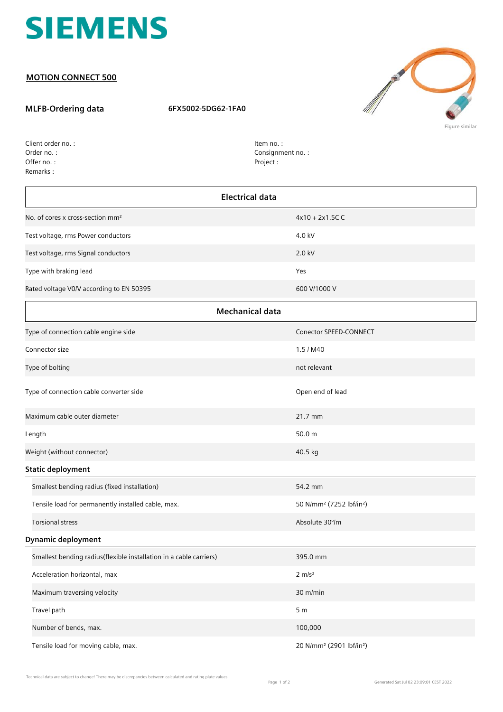

## **MOTION CONNECT 500**

## **MLFB-Ordering data 6FX5002-5DG62-1FA0**



Order no. : Offer no. : Client order no. : Remarks :

Item no. : Consignment no. : Project :

| <b>Electrical data</b>                                             |                                                  |  |
|--------------------------------------------------------------------|--------------------------------------------------|--|
| No. of cores x cross-section mm <sup>2</sup>                       | $4x10 + 2x1.5C$ C                                |  |
| Test voltage, rms Power conductors                                 | 4.0 kV                                           |  |
| Test voltage, rms Signal conductors                                | 2.0 kV                                           |  |
| Type with braking lead                                             | Yes                                              |  |
| Rated voltage V0/V according to EN 50395                           | 600 V/1000 V                                     |  |
| <b>Mechanical data</b>                                             |                                                  |  |
| Type of connection cable engine side                               | Conector SPEED-CONNECT                           |  |
| Connector size                                                     | 1.5 / M40                                        |  |
| Type of bolting                                                    | not relevant                                     |  |
| Type of connection cable converter side                            | Open end of lead                                 |  |
| Maximum cable outer diameter                                       | 21.7 mm                                          |  |
| Length                                                             | 50.0 m                                           |  |
| Weight (without connector)                                         | 40.5 kg                                          |  |
| <b>Static deployment</b>                                           |                                                  |  |
| Smallest bending radius (fixed installation)                       | 54.2 mm                                          |  |
| Tensile load for permanently installed cable, max.                 | 50 N/mm <sup>2</sup> (7252 lbf/in <sup>2</sup> ) |  |
| <b>Torsional stress</b>                                            | Absolute 30°/m                                   |  |
| <b>Dynamic deployment</b>                                          |                                                  |  |
| Smallest bending radius(flexible installation in a cable carriers) | 395.0 mm                                         |  |
| Acceleration horizontal, max                                       | $2 \, \text{m/s}^2$                              |  |
| Maximum traversing velocity                                        | 30 m/min                                         |  |
| Travel path                                                        | 5 <sub>m</sub>                                   |  |
| Number of bends, max.                                              | 100,000                                          |  |
| Tensile load for moving cable, max.                                | 20 N/mm <sup>2</sup> (2901 lbf/in <sup>2</sup> ) |  |